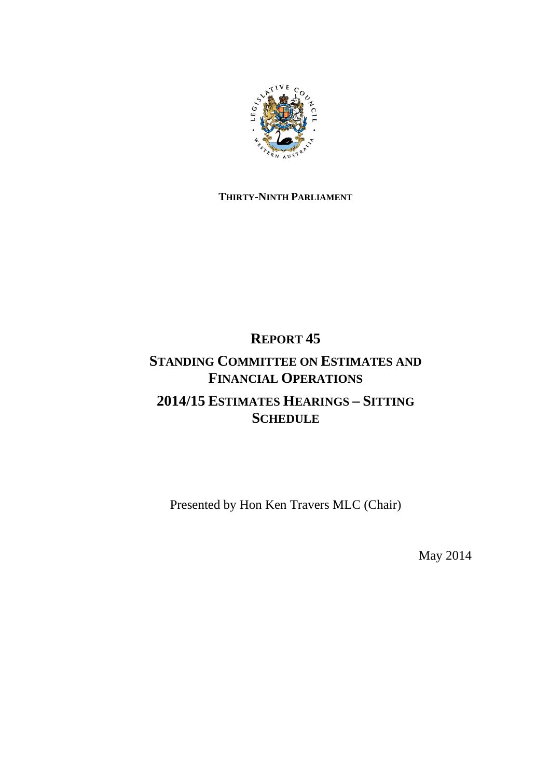

### **THIRTY-NINTH PARLIAMENT**

## **REPORT 45**

## **STANDING COMMITTEE ON ESTIMATES AND FINANCIAL OPERATIONS 2014/15 ESTIMATES HEARINGS – SITTING SCHEDULE**

Presented by Hon Ken Travers MLC (Chair)

May 2014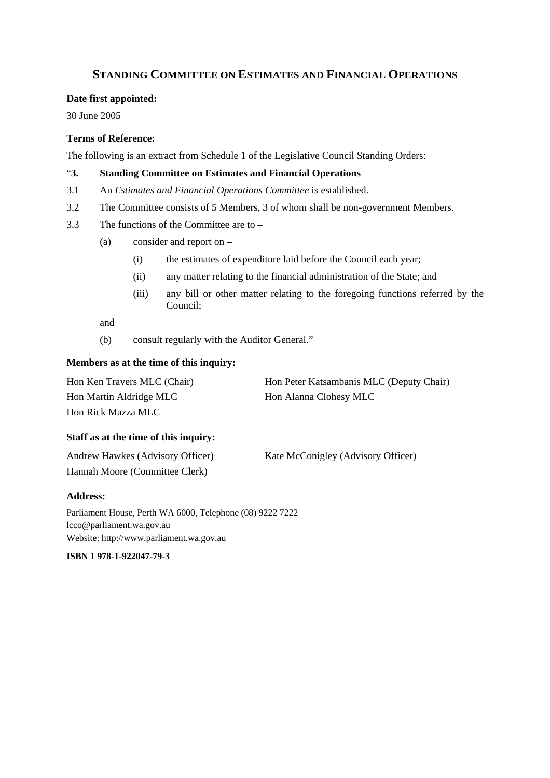### **STANDING COMMITTEE ON ESTIMATES AND FINANCIAL OPERATIONS**

#### **Date first appointed:**

30 June 2005

#### **Terms of Reference:**

The following is an extract from Schedule 1 of the Legislative Council Standing Orders:

#### "**3. Standing Committee on Estimates and Financial Operations**

- 3.1 An *Estimates and Financial Operations Committee* is established.
- 3.2 The Committee consists of 5 Members, 3 of whom shall be non-government Members.
- 3.3 The functions of the Committee are to
	- (a) consider and report on
		- (i) the estimates of expenditure laid before the Council each year;
		- (ii) any matter relating to the financial administration of the State; and
		- (iii) any bill or other matter relating to the foregoing functions referred by the Council;

and

(b) consult regularly with the Auditor General."

#### **Members as at the time of this inquiry:**

| Hon Ken Travers MLC (Chair) | Hon Peter Katsambanis MLC (Deputy Chair) |
|-----------------------------|------------------------------------------|
| Hon Martin Aldridge MLC     | Hon Alanna Clohesy MLC                   |
| Hon Rick Mazza MLC          |                                          |

#### **Staff as at the time of this inquiry:**

| Andrew Hawkes (Advisory Officer) | Kate McConigley (Advisory Officer) |
|----------------------------------|------------------------------------|
| Hannah Moore (Committee Clerk)   |                                    |

#### **Address:**

Parliament House, Perth WA 6000, Telephone (08) 9222 7222 lcco@parliament.wa.gov.au Website: http://www.parliament.wa.gov.au

**ISBN 1 978-1-922047-79-3**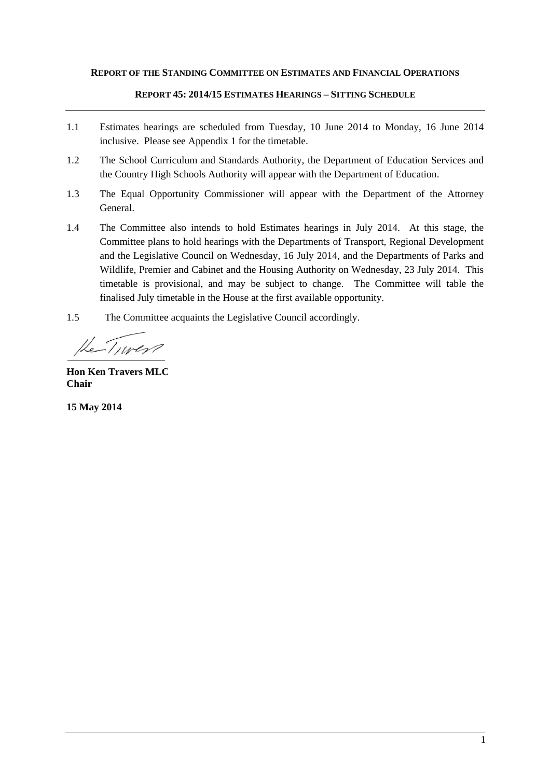#### **REPORT OF THE STANDING COMMITTEE ON ESTIMATES AND FINANCIAL OPERATIONS**

#### **REPORT 45: 2014/15 ESTIMATES HEARINGS – SITTING SCHEDULE**

- 1.1 Estimates hearings are scheduled from Tuesday, 10 June 2014 to Monday, 16 June 2014 inclusive. Please see Appendix 1 for the timetable.
- 1.2 The School Curriculum and Standards Authority, the Department of Education Services and the Country High Schools Authority will appear with the Department of Education.
- 1.3 The Equal Opportunity Commissioner will appear with the Department of the Attorney General.
- 1.4 The Committee also intends to hold Estimates hearings in July 2014. At this stage, the Committee plans to hold hearings with the Departments of Transport, Regional Development and the Legislative Council on Wednesday, 16 July 2014, and the Departments of Parks and Wildlife, Premier and Cabinet and the Housing Authority on Wednesday, 23 July 2014. This timetable is provisional, and may be subject to change. The Committee will table the finalised July timetable in the House at the first available opportunity.
- 1.5 The Committee acquaints the Legislative Council accordingly.

He Tiver

**Hon Ken Travers MLC Chair** 

**15 May 2014**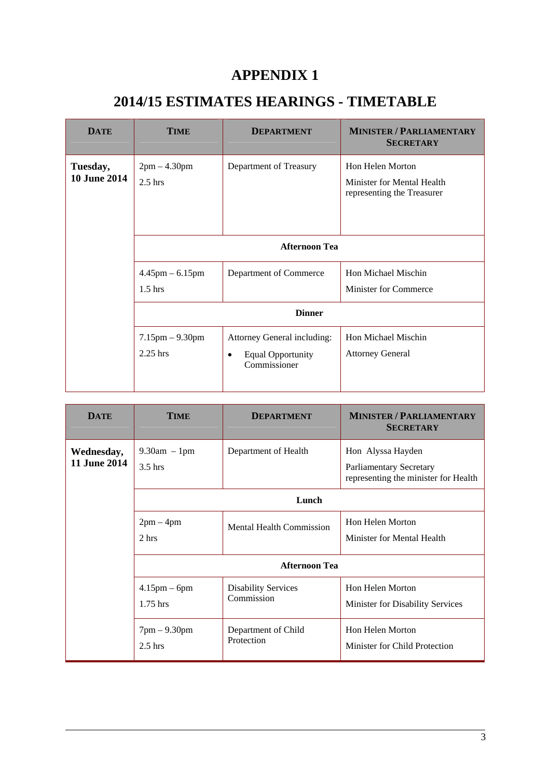### **APPENDIX 1**

# **2014/15 ESTIMATES HEARINGS - TIMETABLE**

| <b>DATE</b>                     | TIME                                | <b>DEPARTMENT</b>                                                                    | <b>MINISTER / PARLIAMENTARY</b><br><b>SECRETARY</b>                                 |
|---------------------------------|-------------------------------------|--------------------------------------------------------------------------------------|-------------------------------------------------------------------------------------|
| Tuesday,<br><b>10 June 2014</b> | $2pm - 4.30pm$<br>$2.5$ hrs         | Department of Treasury                                                               | <b>Hon Helen Morton</b><br>Minister for Mental Health<br>representing the Treasurer |
|                                 | <b>Afternoon Tea</b>                |                                                                                      |                                                                                     |
|                                 | $4.45$ pm $-6.15$ pm<br>$1.5$ hrs   | Department of Commerce                                                               | Hon Michael Mischin<br><b>Minister for Commerce</b>                                 |
|                                 |                                     | <b>Dinner</b>                                                                        |                                                                                     |
|                                 | $7.15$ pm $- 9.30$ pm<br>$2.25$ hrs | Attorney General including:<br><b>Equal Opportunity</b><br>$\bullet$<br>Commissioner | Hon Michael Mischin<br><b>Attorney General</b>                                      |

| <b>DATE</b>                | TIME                          | <b>DEPARTMENT</b>                        | <b>MINISTER / PARLIAMENTARY</b><br><b>SECRETARY</b>                                         |
|----------------------------|-------------------------------|------------------------------------------|---------------------------------------------------------------------------------------------|
| Wednesday,<br>11 June 2014 | $9.30am - 1pm$<br>$3.5$ hrs   | Department of Health                     | Hon Alyssa Hayden<br><b>Parliamentary Secretary</b><br>representing the minister for Health |
|                            | Lunch                         |                                          |                                                                                             |
|                            | $2pm-4pm$<br>2 hrs            | <b>Mental Health Commission</b>          | Hon Helen Morton<br>Minister for Mental Health                                              |
|                            | <b>Afternoon Tea</b>          |                                          |                                                                                             |
|                            | $4.15$ pm $-$ 6pm<br>1.75 hrs | <b>Disability Services</b><br>Commission | Hon Helen Morton<br>Minister for Disability Services                                        |
|                            | $7pm - 9.30pm$<br>$2.5$ hrs   | Department of Child<br>Protection        | <b>Hon Helen Morton</b><br>Minister for Child Protection                                    |